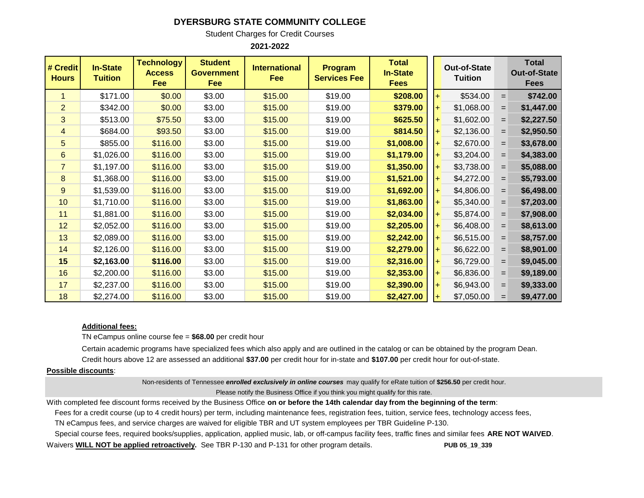## **DYERSBURG STATE COMMUNITY COLLEGE**

Student Charges for Credit Courses

**2021-2022**

| # Credit<br><b>Hours</b> | <b>In-State</b><br><b>Tuition</b> | <b>Technology</b><br><b>Access</b><br>Fee | <b>Student</b><br><b>Government</b><br>Fee | <b>International</b><br>Fee | <b>Program</b><br><b>Services Fee</b> | <b>Total</b><br><b>In-State</b><br><b>Fees</b> |     | <b>Out-of-State</b><br><b>Tuition</b> |     | <b>Total</b><br><b>Out-of-State</b><br><b>Fees</b> |
|--------------------------|-----------------------------------|-------------------------------------------|--------------------------------------------|-----------------------------|---------------------------------------|------------------------------------------------|-----|---------------------------------------|-----|----------------------------------------------------|
| 1                        | \$171.00                          | \$0.00                                    | \$3.00                                     | \$15.00                     | \$19.00                               | \$208.00                                       | $+$ | \$534.00                              | $=$ | \$742.00                                           |
| $\overline{2}$           | \$342.00                          | \$0.00                                    | \$3.00                                     | \$15.00                     | \$19.00                               | \$379.00                                       |     | \$1,068.00                            | $=$ | \$1,447.00                                         |
| 3                        | \$513.00                          | \$75.50                                   | \$3.00                                     | \$15.00                     | \$19.00                               | \$625.50                                       |     | \$1,602.00                            | $=$ | \$2,227.50                                         |
| 4                        | \$684.00                          | \$93.50                                   | \$3.00                                     | \$15.00                     | \$19.00                               | \$814.50                                       |     | \$2,136.00                            | $=$ | \$2,950.50                                         |
| 5                        | \$855.00                          | \$116.00                                  | \$3.00                                     | \$15.00                     | \$19.00                               | \$1,008.00                                     |     | \$2,670.00                            | $=$ | \$3,678.00                                         |
| 6                        | \$1,026.00                        | \$116.00                                  | \$3.00                                     | \$15.00                     | \$19.00                               | \$1,179.00                                     |     | \$3,204.00                            | $=$ | \$4,383.00                                         |
| $\overline{7}$           | \$1,197.00                        | \$116.00                                  | \$3.00                                     | \$15.00                     | \$19.00                               | \$1,350.00                                     |     | \$3,738.00                            | $=$ | \$5,088.00                                         |
| 8                        | \$1,368.00                        | \$116.00                                  | \$3.00                                     | \$15.00                     | \$19.00                               | \$1,521.00                                     |     | \$4,272.00                            | $=$ | \$5,793.00                                         |
| 9                        | \$1,539.00                        | \$116.00                                  | \$3.00                                     | \$15.00                     | \$19.00                               | \$1,692.00                                     |     | \$4,806.00                            | $=$ | \$6,498.00                                         |
| 10                       | \$1,710.00                        | \$116.00                                  | \$3.00                                     | \$15.00                     | \$19.00                               | \$1,863.00                                     |     | \$5,340.00                            | $=$ | \$7,203.00                                         |
| 11                       | \$1,881.00                        | \$116.00                                  | \$3.00                                     | \$15.00                     | \$19.00                               | \$2,034.00                                     |     | \$5,874.00                            | $=$ | \$7,908.00                                         |
| 12                       | \$2,052.00                        | \$116.00                                  | \$3.00                                     | \$15.00                     | \$19.00                               | \$2,205.00                                     |     | \$6,408.00                            | $=$ | \$8,613.00                                         |
| 13                       | \$2,089.00                        | \$116.00                                  | \$3.00                                     | \$15.00                     | \$19.00                               | \$2,242.00                                     |     | \$6,515.00                            | $=$ | \$8,757.00                                         |
| 14                       | \$2,126.00                        | \$116.00                                  | \$3.00                                     | \$15.00                     | \$19.00                               | \$2,279.00                                     |     | \$6,622.00                            | $=$ | \$8,901.00                                         |
| 15                       | \$2,163.00                        | \$116.00                                  | \$3.00                                     | \$15.00                     | \$19.00                               | \$2,316.00                                     |     | \$6,729.00                            | $=$ | \$9,045.00                                         |
| 16                       | \$2,200.00                        | \$116.00                                  | \$3.00                                     | \$15.00                     | \$19.00                               | \$2,353.00                                     |     | \$6,836.00                            | $=$ | \$9,189.00                                         |
| 17                       | \$2,237.00                        | \$116.00                                  | \$3.00                                     | \$15.00                     | \$19.00                               | \$2,390.00                                     |     | \$6,943.00                            | $=$ | \$9,333.00                                         |
| 18                       | \$2,274.00                        | \$116.00                                  | \$3.00                                     | \$15.00                     | \$19.00                               | \$2,427.00                                     |     | \$7,050.00                            | $=$ | \$9,477.00                                         |

## **Additional fees:**

TN eCampus online course fee = **\$68.00** per credit hour

Certain academic programs have specialized fees which also apply and are outlined in the catalog or can be obtained by the program Dean. Credit hours above 12 are assessed an additional **\$37.00** per credit hour for in-state and **\$107.00** per credit hour for out-of-state.

## **Possible discounts**:

Non-residents of Tennessee *enrolled exclusively in online courses* may qualify for eRate tuition of **\$256.50** per credit hour. Please notify the Business Office if you think you might qualify for this rate.

With completed fee discount forms received by the Business Office **on or before the 14th calendar day from the beginning of the term**:

Fees for a credit course (up to 4 credit hours) per term, including maintenance fees, registration fees, tuition, service fees, technology access fees,

TN eCampus fees, and service charges are waived for eligible TBR and UT system employees per TBR Guideline P-130.

Special course fees, required books/supplies, application, applied music, lab, or off-campus facility fees, traffic fines and similar fees **ARE NOT WAIVED**.

Waivers **WILL NOT be applied retroactively.** See TBR P-130 and P-131 for other program details. **PUB 05\_19\_339**